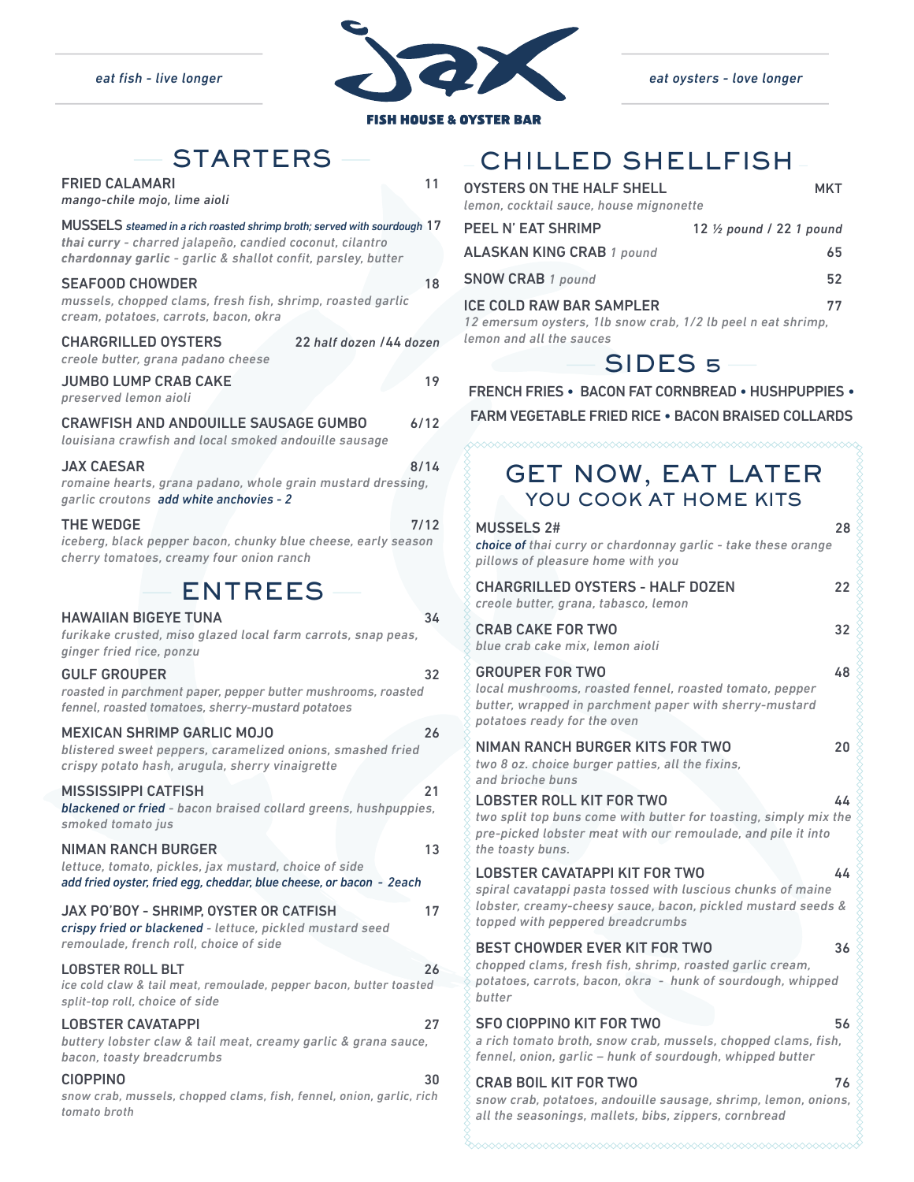

| <b>FISH HOUSE &amp; OYSTER BAR</b>                                                                                                                                                                   |                                                             |
|------------------------------------------------------------------------------------------------------------------------------------------------------------------------------------------------------|-------------------------------------------------------------|
| <b>STARTERS</b>                                                                                                                                                                                      | CHIL                                                        |
| 11<br><b>FRIED CALAMARI</b><br>mango-chile mojo, lime aioli                                                                                                                                          | <b>OYSTERS OF</b><br>lemon, cockta                          |
| MUSSELS steamed in a rich roasted shrimp broth; served with sourdough 17<br>thai curry - charred jalapeño, candied coconut, cilantro<br>chardonnay garlic - garlic & shallot confit, parsley, butter | <b>PEEL N' EAT</b><br><b>ALASKANK</b>                       |
| <b>SEAFOOD CHOWDER</b><br>18<br>mussels, chopped clams, fresh fish, shrimp, roasted garlic<br>cream, potatoes, carrots, bacon, okra                                                                  | <b>SNOW CRAE</b><br><b>ICE COLD RA</b><br>12 emersum        |
| <b>CHARGRILLED OYSTERS</b><br>22 half dozen /44 dozen<br>creole butter, grana padano cheese                                                                                                          | lemon and all                                               |
| <b>JUMBO LUMP CRAB CAKE</b><br>19<br>preserved lemon aioli                                                                                                                                           | <b>FRENCH FR</b>                                            |
| <b>CRAWFISH AND ANDOUILLE SAUSAGE GUMBO</b><br>6/12<br>louisiana crawfish and local smoked andouille sausage                                                                                         | <b>FARM VEGE</b>                                            |
| <b>JAX CAESAR</b><br>8/14<br>romaine hearts, grana padano, whole grain mustard dressing,<br>garlic croutons add white anchovies - 2                                                                  | GE<br>Y)                                                    |
| <b>THE WEDGE</b><br>7/12<br>iceberg, black pepper bacon, chunky blue cheese, early season<br>cherry tomatoes, creamy four onion ranch                                                                | <b>MUSSELS</b><br>choice of the<br>pillows of p             |
| <b>ENTREES</b>                                                                                                                                                                                       | <b>CHARGRIL</b><br>creole butte                             |
| <b>HAWAIIAN BIGEYE TUNA</b><br>34<br>furikake crusted, miso glazed local farm carrots, snap peas,<br>ginger fried rice, ponzu                                                                        | <b>CRAB CAK</b><br>blue crab ca                             |
| <b>GULF GROUPER</b><br>32<br>roasted in parchment paper, pepper butter mushrooms, roasted<br>fennel, roasted tomatoes, sherry-mustard potatoes                                                       | <b>GROUPER</b><br>local mushi<br>butter, wra <sub>l</sub>   |
| <b>MEXICAN SHRIMP GARLIC MOJO</b><br>26<br>blistered sweet peppers, caramelized onions, smashed fried<br>crispy potato hash, arugula, sherry vinaigrette                                             | potatoes re<br><b>NIMAN RA</b><br>two 8 oz. cł              |
| <b>MISSISSIPPI CATFISH</b><br>21<br>blackened or fried - bacon braised collard greens, hushpuppies,<br>smoked tomato jus                                                                             | and brioche<br><b>LOBSTER</b><br>two split to<br>pre-picked |
| <b>NIMAN RANCH BURGER</b><br>13<br>lettuce, tomato, pickles, jax mustard, choice of side<br>add fried oyster, fried egg, cheddar, blue cheese, or bacon - 2each                                      | the toasty b<br><b>LOBSTER</b><br>spiral caval              |
| <b>JAX PO'BOY - SHRIMP, OYSTER OR CATFISH</b><br>17<br>crispy fried or blackened - lettuce, pickled mustard seed<br>remoulade, french roll, choice of side                                           | lobster, cre<br>topped with                                 |
| <b>LOBSTER ROLL BLT</b><br>26<br>ice cold claw & tail meat, remoulade, pepper bacon, butter toasted<br>split-top roll, choice of side                                                                | <b>BEST CHO</b><br>chopped cla<br>potatoes, ca<br>butter    |
| <b>LOBSTER CAVATAPPI</b><br>27<br>buttery lobster claw & tail meat, creamy garlic & grana sauce,<br>bacon, toasty breadcrumbs                                                                        | <b>SFO CIOPF</b><br>a rich toma<br>fennel, onic             |

CIOPPINO 30 *snow crab, mussels, chopped clams, fish, fennel, onion, garlic, rich* 

*tomato broth*

# CHILLED SHELLFISH

| OYSTERS ON THE HALF SHELL<br>lemon, cocktail sauce, house mignonette                            | <b>MKT</b>                          |
|-------------------------------------------------------------------------------------------------|-------------------------------------|
| <b>PEEL N' EAT SHRIMP</b>                                                                       | 12 $\frac{1}{2}$ pound / 22 1 pound |
| <b>ALASKAN KING CRAB 1 pound</b>                                                                | 65                                  |
| <b>SNOW CRAB 1 pound</b>                                                                        | 52                                  |
| <b>ICE COLD RAW BAR SAMPLER</b><br>12 emersum oysters, 1lb snow crab, 1/2 lb peel n eat shrimp, | 77                                  |
| lemon and all the sauces                                                                        |                                     |



| <b>FRENCH FRIES • BACON FAT CORNBREAD • HUSHPUPPIES •</b> |  |  |
|-----------------------------------------------------------|--|--|
|                                                           |  |  |

FARM VEGETABLE FRIED RICE • BACON BRAISED COLLARDS

## GET NOW, EAT LATER YOU COOK AT HOME KITS MUSCELS  $24$

| MUSSELS Z#<br><b>choice of</b> thai curry or chardonnay garlic - take these orange<br>pillows of pleasure home with you                                                                                 | Zŏ. |
|---------------------------------------------------------------------------------------------------------------------------------------------------------------------------------------------------------|-----|
| <b>CHARGRILLED OYSTERS - HALF DOZEN</b><br>creole butter, grana, tabasco, lemon                                                                                                                         | 22  |
| <b>CRAB CAKE FOR TWO</b><br>blue crab cake mix, lemon aioli                                                                                                                                             | 32  |
| <b>GROUPER FOR TWO</b><br>local mushrooms, roasted fennel, roasted tomato, pepper<br>butter, wrapped in parchment paper with sherry-mustard<br>potatoes ready for the oven                              | 48  |
| NIMAN RANCH BURGER KITS FOR TWO<br>two 8 oz. choice burger patties, all the fixins,<br>and brioche buns                                                                                                 | 20  |
| <b>LOBSTER ROLL KIT FOR TWO</b><br>two split top buns come with butter for toasting, simply mix the<br>pre-picked lobster meat with our remoulade, and pile it into<br>the toasty buns.                 | 44  |
| <b>LOBSTER CAVATAPPI KIT FOR TWO</b><br>spiral cavatappi pasta tossed with luscious chunks of maine<br>lobster, creamy-cheesy sauce, bacon, pickled mustard seeds &<br>topped with peppered breadcrumbs | 44  |
| <b>BEST CHOWDER EVER KIT FOR TWO</b><br>chopped clams, fresh fish, shrimp, roasted garlic cream,<br>potatoes, carrots, bacon, okra - hunk of sourdough, whipped<br>butter                               | 36  |
| <b>SFO CIOPPINO KIT FOR TWO</b><br>a rich tomato broth, snow crab, mussels, chopped clams, fish,<br>fennel, onion, garlic - hunk of sourdough, whipped butter                                           | 56  |
| <b>CRAB BOIL KIT FOR TWO</b><br>snow crab, potatoes, andouille sausage, shrimp, lemon, onions,<br>all the seasonings, mallets, bibs, zippers, cornbread                                                 | 76  |